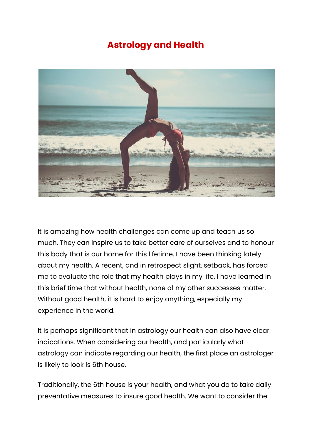## **Astrology and Health**



It is amazing how health challenges can come up and teach us so much. They can inspire us to take better care of ourselves and to honour this body that is our home for this lifetime. I have been thinking lately about my health. A recent, and in retrospect slight, setback, has forced me to evaluate the role that my health plays in my life. I have learned in this brief time that without health, none of my other successes matter. Without good health, it is hard to enjoy anything, especially my experience in the world.

It is perhaps significant that in astrology our health can also have clear indications. When considering our health, and particularly what astrology can indicate regarding our health, the first place an astrologer is likely to look is 6th house.

Traditionally, the 6th house is your health, and what you do to take daily preventative measures to insure good health. We want to consider the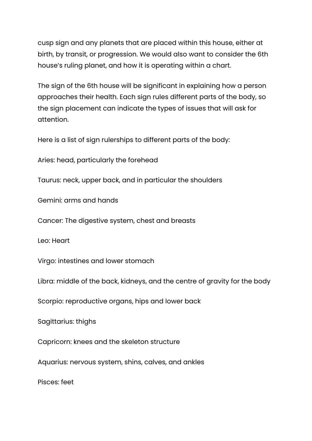cusp sign and any planets that are placed within this house, either at birth, by transit, or progression. We would also want to consider the 6th house's ruling planet, and how it is operating within a chart.

The sign of the 6th house will be significant in explaining how a person approaches their health. Each sign rules different parts of the body, so the sign placement can indicate the types of issues that will ask for attention.

Here is a list of sign rulerships to different parts of the body:

Aries: head, particularly the forehead

Taurus: neck, upper back, and in particular the shoulders

Gemini: arms and hands

Cancer: The digestive system, chest and breasts

Leo: Heart

Virgo: intestines and lower stomach

Libra: middle of the back, kidneys, and the centre of gravity for the body

Scorpio: reproductive organs, hips and lower back

Sagittarius: thighs

Capricorn: knees and the skeleton structure

Aquarius: nervous system, shins, calves, and ankles

Pisces: feet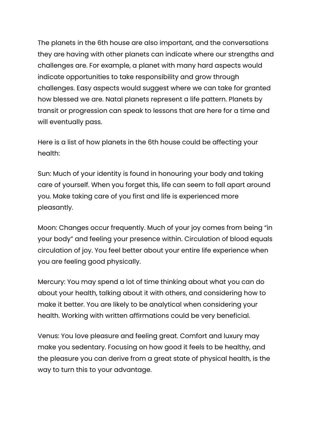The planets in the 6th house are also important, and the conversations they are having with other planets can indicate where our strengths and challenges are. For example, a planet with many hard aspects would indicate opportunities to take responsibility and grow through challenges. Easy aspects would suggest where we can take for granted how blessed we are. Natal planets represent a life pattern. Planets by transit or progression can speak to lessons that are here for a time and will eventually pass.

Here is a list of how planets in the 6th house could be affecting your health:

Sun: Much of your identity is found in honouring your body and taking care of yourself. When you forget this, life can seem to fall apart around you. Make taking care of you first and life is experienced more pleasantly.

Moon: Changes occur frequently. Much of your joy comes from being "in your body" and feeling your presence within. Circulation of blood equals circulation of joy. You feel better about your entire life experience when you are feeling good physically.

Mercury: You may spend a lot of time thinking about what you can do about your health, talking about it with others, and considering how to make it better. You are likely to be analytical when considering your health. Working with written affirmations could be very beneficial.

Venus: You love pleasure and feeling great. Comfort and luxury may make you sedentary. Focusing on how good it feels to be healthy, and the pleasure you can derive from a great state of physical health, is the way to turn this to your advantage.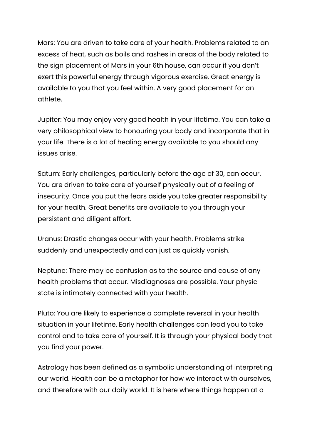Mars: You are driven to take care of your health. Problems related to an excess of heat, such as boils and rashes in areas of the body related to the sign placement of Mars in your 6th house, can occur if you don't exert this powerful energy through vigorous exercise. Great energy is available to you that you feel within. A very good placement for an athlete.

Jupiter: You may enjoy very good health in your lifetime. You can take a very philosophical view to honouring your body and incorporate that in your life. There is a lot of healing energy available to you should any issues arise.

Saturn: Early challenges, particularly before the age of 30, can occur. You are driven to take care of yourself physically out of a feeling of insecurity. Once you put the fears aside you take greater responsibility for your health. Great benefits are available to you through your persistent and diligent effort.

Uranus: Drastic changes occur with your health. Problems strike suddenly and unexpectedly and can just as quickly vanish.

Neptune: There may be confusion as to the source and cause of any health problems that occur. Misdiagnoses are possible. Your physic state is intimately connected with your health.

Pluto: You are likely to experience a complete reversal in your health situation in your lifetime. Early health challenges can lead you to take control and to take care of yourself. It is through your physical body that you find your power.

Astrology has been defined as a symbolic understanding of interpreting our world. Health can be a metaphor for how we interact with ourselves, and therefore with our daily world. It is here where things happen at a